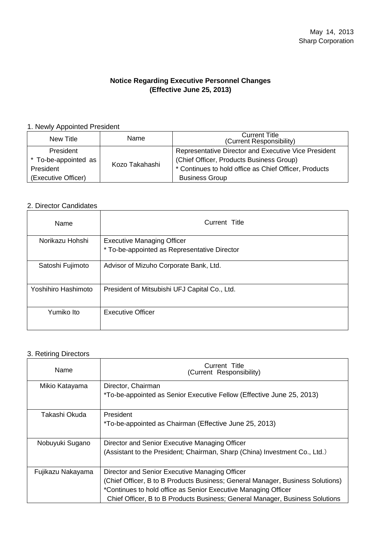### **Notice Regarding Executive Personnel Changes (Effective June 25, 2013)**

#### 1. Newly Appointed President

| New Title            | Name                  | <b>Current Title</b><br>(Current Responsibility)      |
|----------------------|-----------------------|-------------------------------------------------------|
| President            | Kozo Takahashi        | Representative Director and Executive Vice President  |
| * To-be-appointed as |                       | (Chief Officer, Products Business Group)              |
| President            |                       | * Continues to hold office as Chief Officer, Products |
| (Executive Officer)  | <b>Business Group</b> |                                                       |

# 2. Director Candidates

| Name                | Current Title                                 |
|---------------------|-----------------------------------------------|
| Norikazu Hohshi     | <b>Executive Managing Officer</b>             |
|                     | * To-be-appointed as Representative Director  |
| Satoshi Fujimoto    | Advisor of Mizuho Corporate Bank, Ltd.        |
| Yoshihiro Hashimoto | President of Mitsubishi UFJ Capital Co., Ltd. |
| Yumiko Ito          | Executive Officer                             |

#### 3. Retiring Directors

| Name              | Current Title<br>(Current Responsibility)                                                                                                                                                                                                                                          |
|-------------------|------------------------------------------------------------------------------------------------------------------------------------------------------------------------------------------------------------------------------------------------------------------------------------|
| Mikio Katayama    | Director, Chairman<br>*To-be-appointed as Senior Executive Fellow (Effective June 25, 2013)                                                                                                                                                                                        |
| Takashi Okuda     | President<br>*To-be-appointed as Chairman (Effective June 25, 2013)                                                                                                                                                                                                                |
| Nobuyuki Sugano   | Director and Senior Executive Managing Officer<br>(Assistant to the President; Chairman, Sharp (China) Investment Co., Ltd.)                                                                                                                                                       |
| Fujikazu Nakayama | Director and Senior Executive Managing Officer<br>(Chief Officer, B to B Products Business; General Manager, Business Solutions)<br>*Continues to hold office as Senior Executive Managing Officer<br>Chief Officer, B to B Products Business; General Manager, Business Solutions |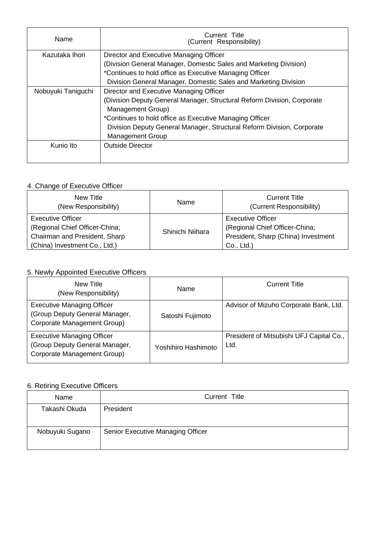| Name                                                          | Current Title<br>(Current Responsibility)                                                         |
|---------------------------------------------------------------|---------------------------------------------------------------------------------------------------|
| Kazutaka Ihori                                                | Director and Executive Managing Officer                                                           |
|                                                               | (Division General Manager, Domestic Sales and Marketing Division)                                 |
|                                                               | *Continues to hold office as Executive Managing Officer                                           |
|                                                               | Division General Manager, Domestic Sales and Marketing Division                                   |
| Nobuyuki Taniguchi<br>Director and Executive Managing Officer |                                                                                                   |
|                                                               | (Division Deputy General Manager, Structural Reform Division, Corporate<br>Management Group)      |
|                                                               | *Continues to hold office as Executive Managing Officer                                           |
|                                                               | Division Deputy General Manager, Structural Reform Division, Corporate<br><b>Management Group</b> |
| Kunio Ito                                                     | <b>Outside Director</b>                                                                           |

### 4. Change of Executive Officer

| New Title<br>(New Responsibility)                                                                                     | Name             | <b>Current Title</b><br>(Current Responsibility)                                                                |
|-----------------------------------------------------------------------------------------------------------------------|------------------|-----------------------------------------------------------------------------------------------------------------|
| Executive Officer<br>(Regional Chief Officer-China;<br>Chairman and President, Sharp<br>(China) Investment Co., Ltd.) | Shinichi Niihara | <b>Executive Officer</b><br>(Regional Chief Officer-China;<br>President, Sharp (China) Investment<br>Co., Ltd.) |

# 5. Newly Appointed Executive Officers

| New Title<br>(New Responsibility)                                                                  | Name                | <b>Current Title</b>                             |
|----------------------------------------------------------------------------------------------------|---------------------|--------------------------------------------------|
| <b>Executive Managing Officer</b><br>(Group Deputy General Manager,<br>Corporate Management Group) | Satoshi Fujimoto    | Advisor of Mizuho Corporate Bank, Ltd.           |
| <b>Executive Managing Officer</b><br>(Group Deputy General Manager,<br>Corporate Management Group) | Yoshihiro Hashimoto | President of Mitsubishi UFJ Capital Co.,<br>Ltd. |

# 6. Retiring Executive Officers

| Name            | Current Title                     |
|-----------------|-----------------------------------|
| Takashi Okuda   | President                         |
| Nobuyuki Sugano | Senior Executive Managing Officer |